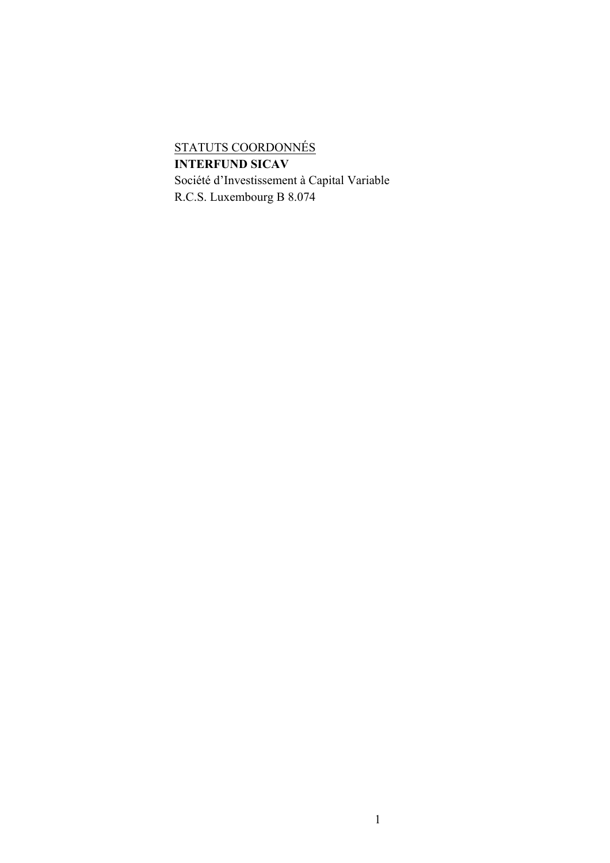# STATUTS COORDONNÉS **INTERFUND SICAV** Société d'Investissement à Capital Variable

R.C.S. Luxembourg B 8.074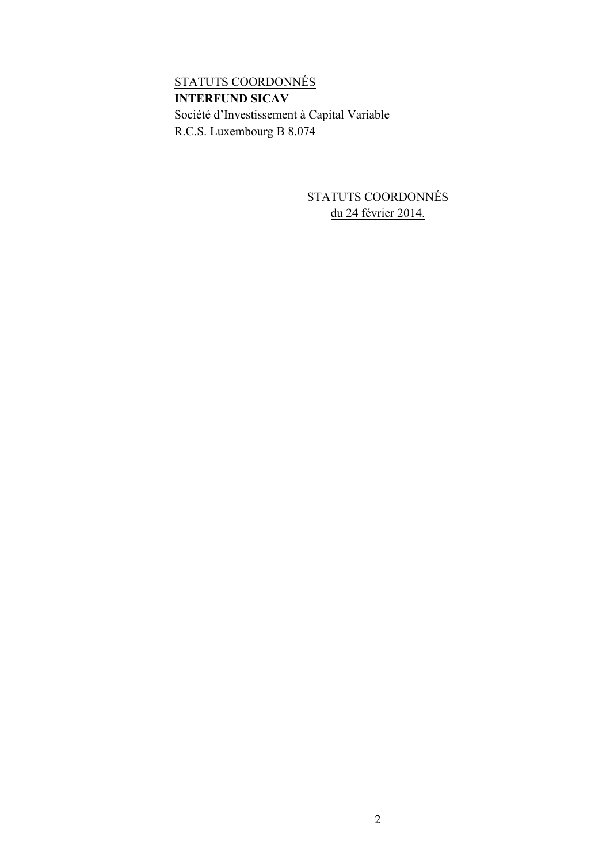STATUTS COORDONNÉS **INTERFUND SICAV** Société d'Investissement à Capital Variable R.C.S. Luxembourg B 8.074

> STATUTS COORDONNÉS du 24 février 2014.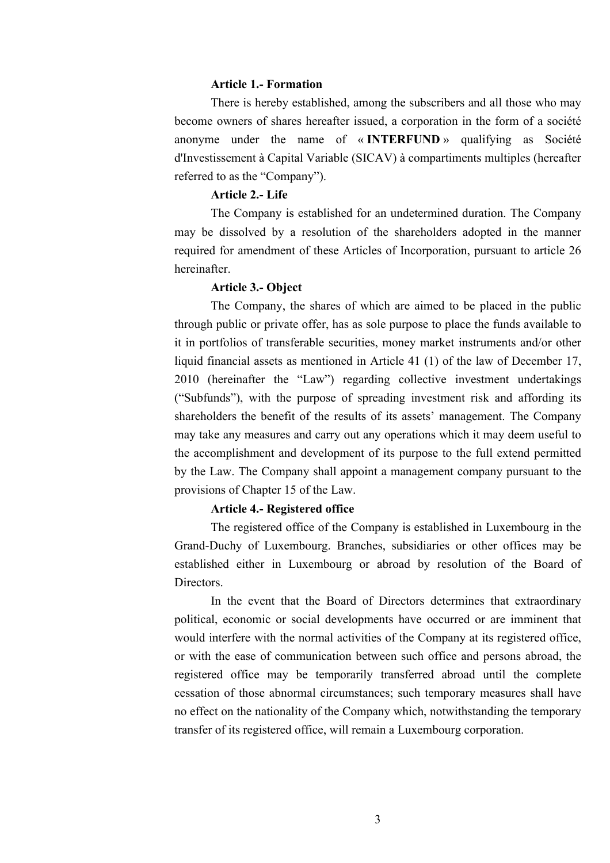# **Article 1.- Formation**

There is hereby established, among the subscribers and all those who may become owners of shares hereafter issued, a corporation in the form of a société anonyme under the name of « **INTERFUND** » qualifying as Société d'Investissement à Capital Variable (SICAV) à compartiments multiples (hereafter referred to as the "Company").

# **Article 2.- Life**

The Company is established for an undetermined duration. The Company may be dissolved by a resolution of the shareholders adopted in the manner required for amendment of these Articles of Incorporation, pursuant to article 26 hereinafter.

#### **Article 3.- Object**

The Company, the shares of which are aimed to be placed in the public through public or private offer, has as sole purpose to place the funds available to it in portfolios of transferable securities, money market instruments and/or other liquid financial assets as mentioned in Article 41 (1) of the law of December 17, 2010 (hereinafter the "Law") regarding collective investment undertakings ("Subfunds"), with the purpose of spreading investment risk and affording its shareholders the benefit of the results of its assets' management. The Company may take any measures and carry out any operations which it may deem useful to the accomplishment and development of its purpose to the full extend permitted by the Law. The Company shall appoint a management company pursuant to the provisions of Chapter 15 of the Law.

#### **Article 4.- Registered office**

The registered office of the Company is established in Luxembourg in the Grand-Duchy of Luxembourg. Branches, subsidiaries or other offices may be established either in Luxembourg or abroad by resolution of the Board of **Directors** 

In the event that the Board of Directors determines that extraordinary political, economic or social developments have occurred or are imminent that would interfere with the normal activities of the Company at its registered office, or with the ease of communication between such office and persons abroad, the registered office may be temporarily transferred abroad until the complete cessation of those abnormal circumstances; such temporary measures shall have no effect on the nationality of the Company which, notwithstanding the temporary transfer of its registered office, will remain a Luxembourg corporation.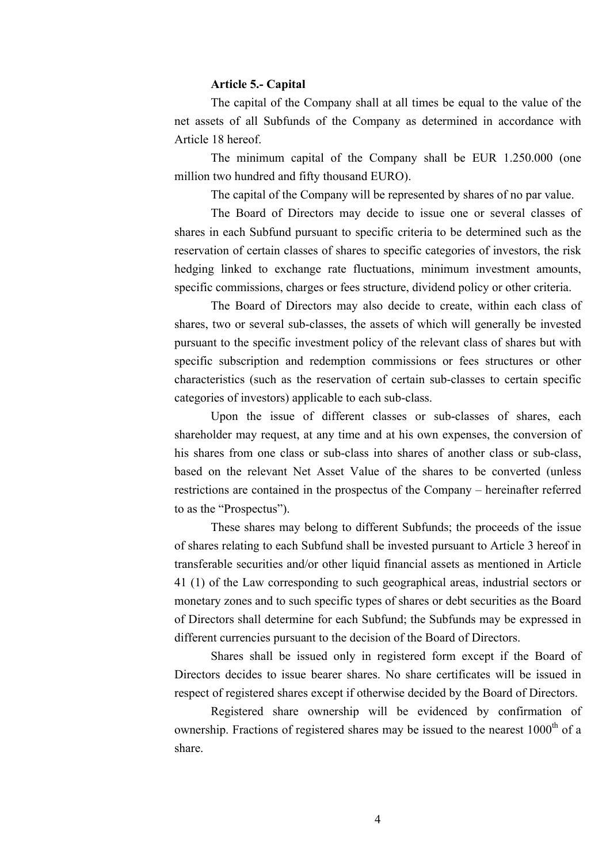# **Article 5.- Capital**

The capital of the Company shall at all times be equal to the value of the net assets of all Subfunds of the Company as determined in accordance with Article 18 hereof.

The minimum capital of the Company shall be EUR 1.250.000 (one million two hundred and fifty thousand EURO).

The capital of the Company will be represented by shares of no par value.

The Board of Directors may decide to issue one or several classes of shares in each Subfund pursuant to specific criteria to be determined such as the reservation of certain classes of shares to specific categories of investors, the risk hedging linked to exchange rate fluctuations, minimum investment amounts, specific commissions, charges or fees structure, dividend policy or other criteria.

The Board of Directors may also decide to create, within each class of shares, two or several sub-classes, the assets of which will generally be invested pursuant to the specific investment policy of the relevant class of shares but with specific subscription and redemption commissions or fees structures or other characteristics (such as the reservation of certain sub-classes to certain specific categories of investors) applicable to each sub-class.

Upon the issue of different classes or sub-classes of shares, each shareholder may request, at any time and at his own expenses, the conversion of his shares from one class or sub-class into shares of another class or sub-class, based on the relevant Net Asset Value of the shares to be converted (unless restrictions are contained in the prospectus of the Company – hereinafter referred to as the "Prospectus").

These shares may belong to different Subfunds; the proceeds of the issue of shares relating to each Subfund shall be invested pursuant to Article 3 hereof in transferable securities and/or other liquid financial assets as mentioned in Article 41 (1) of the Law corresponding to such geographical areas, industrial sectors or monetary zones and to such specific types of shares or debt securities as the Board of Directors shall determine for each Subfund; the Subfunds may be expressed in different currencies pursuant to the decision of the Board of Directors.

Shares shall be issued only in registered form except if the Board of Directors decides to issue bearer shares. No share certificates will be issued in respect of registered shares except if otherwise decided by the Board of Directors.

Registered share ownership will be evidenced by confirmation of ownership. Fractions of registered shares may be issued to the nearest  $1000<sup>th</sup>$  of a share.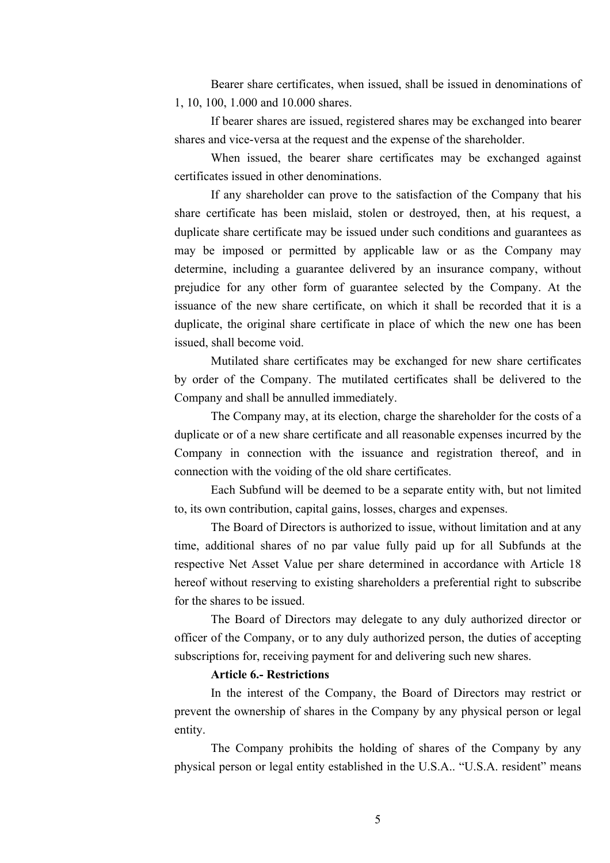Bearer share certificates, when issued, shall be issued in denominations of 1, 10, 100, 1.000 and 10.000 shares.

If bearer shares are issued, registered shares may be exchanged into bearer shares and vice-versa at the request and the expense of the shareholder.

When issued, the bearer share certificates may be exchanged against certificates issued in other denominations.

If any shareholder can prove to the satisfaction of the Company that his share certificate has been mislaid, stolen or destroyed, then, at his request, a duplicate share certificate may be issued under such conditions and guarantees as may be imposed or permitted by applicable law or as the Company may determine, including a guarantee delivered by an insurance company, without prejudice for any other form of guarantee selected by the Company. At the issuance of the new share certificate, on which it shall be recorded that it is a duplicate, the original share certificate in place of which the new one has been issued, shall become void.

Mutilated share certificates may be exchanged for new share certificates by order of the Company. The mutilated certificates shall be delivered to the Company and shall be annulled immediately.

The Company may, at its election, charge the shareholder for the costs of a duplicate or of a new share certificate and all reasonable expenses incurred by the Company in connection with the issuance and registration thereof, and in connection with the voiding of the old share certificates.

Each Subfund will be deemed to be a separate entity with, but not limited to, its own contribution, capital gains, losses, charges and expenses.

The Board of Directors is authorized to issue, without limitation and at any time, additional shares of no par value fully paid up for all Subfunds at the respective Net Asset Value per share determined in accordance with Article 18 hereof without reserving to existing shareholders a preferential right to subscribe for the shares to be issued.

The Board of Directors may delegate to any duly authorized director or officer of the Company, or to any duly authorized person, the duties of accepting subscriptions for, receiving payment for and delivering such new shares.

# **Article 6.- Restrictions**

In the interest of the Company, the Board of Directors may restrict or prevent the ownership of shares in the Company by any physical person or legal entity.

The Company prohibits the holding of shares of the Company by any physical person or legal entity established in the U.S.A.. "U.S.A. resident" means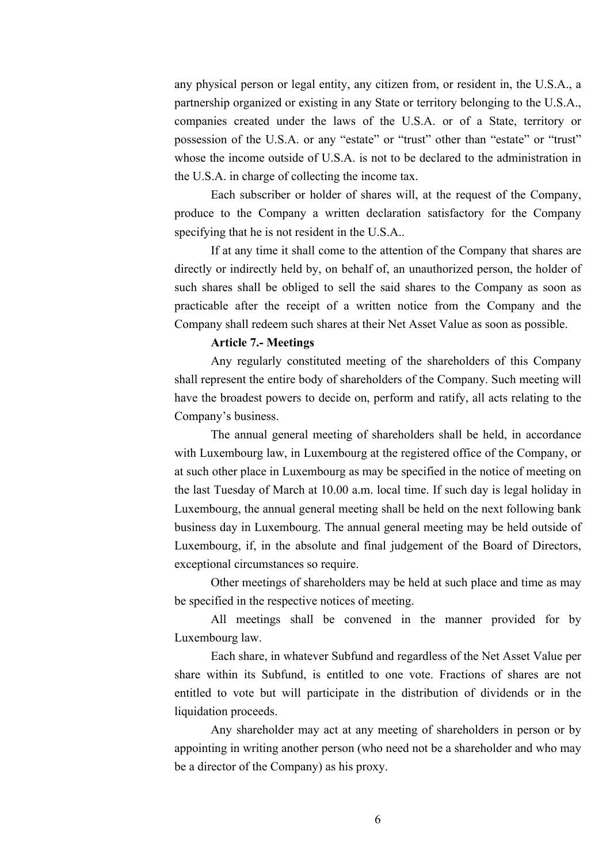any physical person or legal entity, any citizen from, or resident in, the U.S.A., a partnership organized or existing in any State or territory belonging to the U.S.A., companies created under the laws of the U.S.A. or of a State, territory or possession of the U.S.A. or any "estate" or "trust" other than "estate" or "trust" whose the income outside of U.S.A. is not to be declared to the administration in the U.S.A. in charge of collecting the income tax.

Each subscriber or holder of shares will, at the request of the Company, produce to the Company a written declaration satisfactory for the Company specifying that he is not resident in the U.S.A..

If at any time it shall come to the attention of the Company that shares are directly or indirectly held by, on behalf of, an unauthorized person, the holder of such shares shall be obliged to sell the said shares to the Company as soon as practicable after the receipt of a written notice from the Company and the Company shall redeem such shares at their Net Asset Value as soon as possible.

#### **Article 7.- Meetings**

Any regularly constituted meeting of the shareholders of this Company shall represent the entire body of shareholders of the Company. Such meeting will have the broadest powers to decide on, perform and ratify, all acts relating to the Company's business.

The annual general meeting of shareholders shall be held, in accordance with Luxembourg law, in Luxembourg at the registered office of the Company, or at such other place in Luxembourg as may be specified in the notice of meeting on the last Tuesday of March at 10.00 a.m. local time. If such day is legal holiday in Luxembourg, the annual general meeting shall be held on the next following bank business day in Luxembourg. The annual general meeting may be held outside of Luxembourg, if, in the absolute and final judgement of the Board of Directors, exceptional circumstances so require.

Other meetings of shareholders may be held at such place and time as may be specified in the respective notices of meeting.

All meetings shall be convened in the manner provided for by Luxembourg law.

Each share, in whatever Subfund and regardless of the Net Asset Value per share within its Subfund, is entitled to one vote. Fractions of shares are not entitled to vote but will participate in the distribution of dividends or in the liquidation proceeds.

Any shareholder may act at any meeting of shareholders in person or by appointing in writing another person (who need not be a shareholder and who may be a director of the Company) as his proxy.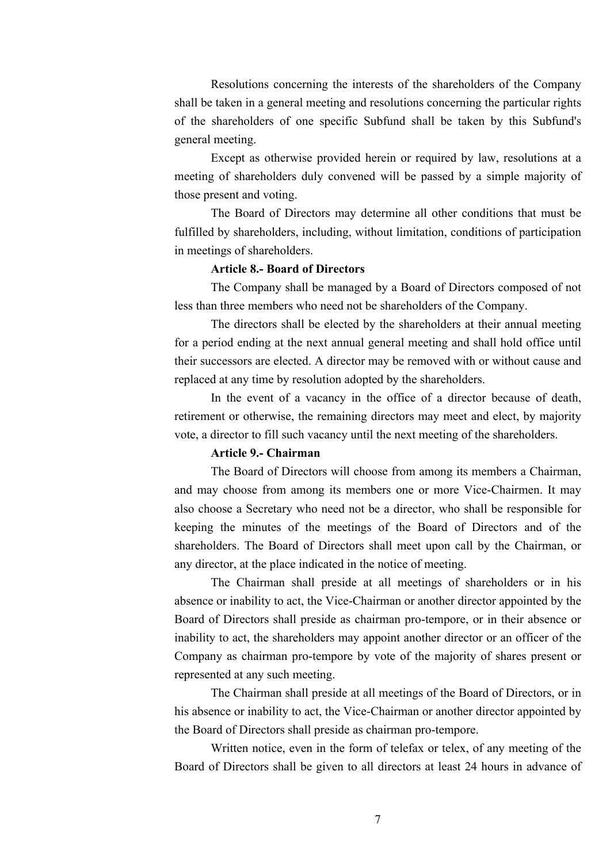Resolutions concerning the interests of the shareholders of the Company shall be taken in a general meeting and resolutions concerning the particular rights of the shareholders of one specific Subfund shall be taken by this Subfund's general meeting.

Except as otherwise provided herein or required by law, resolutions at a meeting of shareholders duly convened will be passed by a simple majority of those present and voting.

The Board of Directors may determine all other conditions that must be fulfilled by shareholders, including, without limitation, conditions of participation in meetings of shareholders.

# **Article 8.- Board of Directors**

The Company shall be managed by a Board of Directors composed of not less than three members who need not be shareholders of the Company.

The directors shall be elected by the shareholders at their annual meeting for a period ending at the next annual general meeting and shall hold office until their successors are elected. A director may be removed with or without cause and replaced at any time by resolution adopted by the shareholders.

In the event of a vacancy in the office of a director because of death, retirement or otherwise, the remaining directors may meet and elect, by majority vote, a director to fill such vacancy until the next meeting of the shareholders.

#### **Article 9.- Chairman**

The Board of Directors will choose from among its members a Chairman, and may choose from among its members one or more Vice-Chairmen. It may also choose a Secretary who need not be a director, who shall be responsible for keeping the minutes of the meetings of the Board of Directors and of the shareholders. The Board of Directors shall meet upon call by the Chairman, or any director, at the place indicated in the notice of meeting.

The Chairman shall preside at all meetings of shareholders or in his absence or inability to act, the Vice-Chairman or another director appointed by the Board of Directors shall preside as chairman pro-tempore, or in their absence or inability to act, the shareholders may appoint another director or an officer of the Company as chairman pro-tempore by vote of the majority of shares present or represented at any such meeting.

The Chairman shall preside at all meetings of the Board of Directors, or in his absence or inability to act, the Vice-Chairman or another director appointed by the Board of Directors shall preside as chairman pro-tempore.

Written notice, even in the form of telefax or telex, of any meeting of the Board of Directors shall be given to all directors at least 24 hours in advance of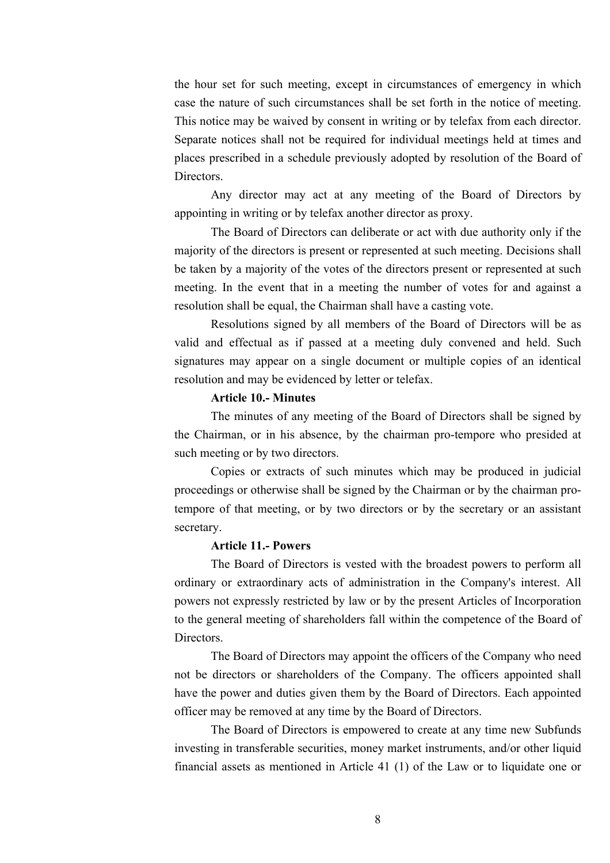the hour set for such meeting, except in circumstances of emergency in which case the nature of such circumstances shall be set forth in the notice of meeting. This notice may be waived by consent in writing or by telefax from each director. Separate notices shall not be required for individual meetings held at times and places prescribed in a schedule previously adopted by resolution of the Board of **Directors** 

Any director may act at any meeting of the Board of Directors by appointing in writing or by telefax another director as proxy.

The Board of Directors can deliberate or act with due authority only if the majority of the directors is present or represented at such meeting. Decisions shall be taken by a majority of the votes of the directors present or represented at such meeting. In the event that in a meeting the number of votes for and against a resolution shall be equal, the Chairman shall have a casting vote.

Resolutions signed by all members of the Board of Directors will be as valid and effectual as if passed at a meeting duly convened and held. Such signatures may appear on a single document or multiple copies of an identical resolution and may be evidenced by letter or telefax.

# **Article 10.- Minutes**

The minutes of any meeting of the Board of Directors shall be signed by the Chairman, or in his absence, by the chairman pro-tempore who presided at such meeting or by two directors.

Copies or extracts of such minutes which may be produced in judicial proceedings or otherwise shall be signed by the Chairman or by the chairman protempore of that meeting, or by two directors or by the secretary or an assistant secretary.

#### **Article 11.- Powers**

The Board of Directors is vested with the broadest powers to perform all ordinary or extraordinary acts of administration in the Company's interest. All powers not expressly restricted by law or by the present Articles of Incorporation to the general meeting of shareholders fall within the competence of the Board of Directors.

The Board of Directors may appoint the officers of the Company who need not be directors or shareholders of the Company. The officers appointed shall have the power and duties given them by the Board of Directors. Each appointed officer may be removed at any time by the Board of Directors.

The Board of Directors is empowered to create at any time new Subfunds investing in transferable securities, money market instruments, and/or other liquid financial assets as mentioned in Article 41 (1) of the Law or to liquidate one or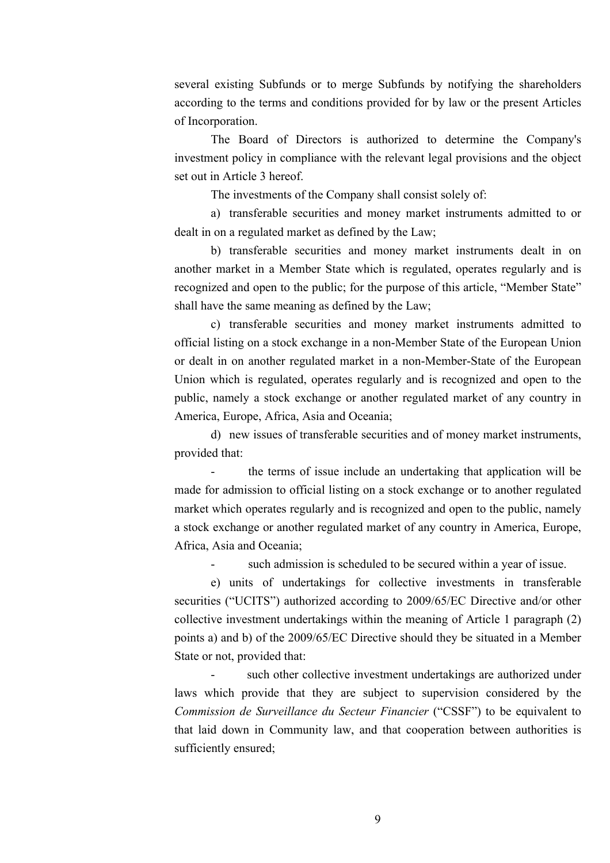several existing Subfunds or to merge Subfunds by notifying the shareholders according to the terms and conditions provided for by law or the present Articles of Incorporation.

The Board of Directors is authorized to determine the Company's investment policy in compliance with the relevant legal provisions and the object set out in Article 3 hereof.

The investments of the Company shall consist solely of:

a) transferable securities and money market instruments admitted to or dealt in on a regulated market as defined by the Law;

b) transferable securities and money market instruments dealt in on another market in a Member State which is regulated, operates regularly and is recognized and open to the public; for the purpose of this article, "Member State" shall have the same meaning as defined by the Law;

c) transferable securities and money market instruments admitted to official listing on a stock exchange in a non-Member State of the European Union or dealt in on another regulated market in a non-Member-State of the European Union which is regulated, operates regularly and is recognized and open to the public, namely a stock exchange or another regulated market of any country in America, Europe, Africa, Asia and Oceania;

d) new issues of transferable securities and of money market instruments, provided that:

the terms of issue include an undertaking that application will be made for admission to official listing on a stock exchange or to another regulated market which operates regularly and is recognized and open to the public, namely a stock exchange or another regulated market of any country in America, Europe, Africa, Asia and Oceania;

such admission is scheduled to be secured within a year of issue.

e) units of undertakings for collective investments in transferable securities ("UCITS") authorized according to 2009/65/EC Directive and/or other collective investment undertakings within the meaning of Article 1 paragraph (2) points a) and b) of the 2009/65/EC Directive should they be situated in a Member State or not, provided that:

such other collective investment undertakings are authorized under laws which provide that they are subject to supervision considered by the *Commission de Surveillance du Secteur Financier* ("CSSF") to be equivalent to that laid down in Community law, and that cooperation between authorities is sufficiently ensured;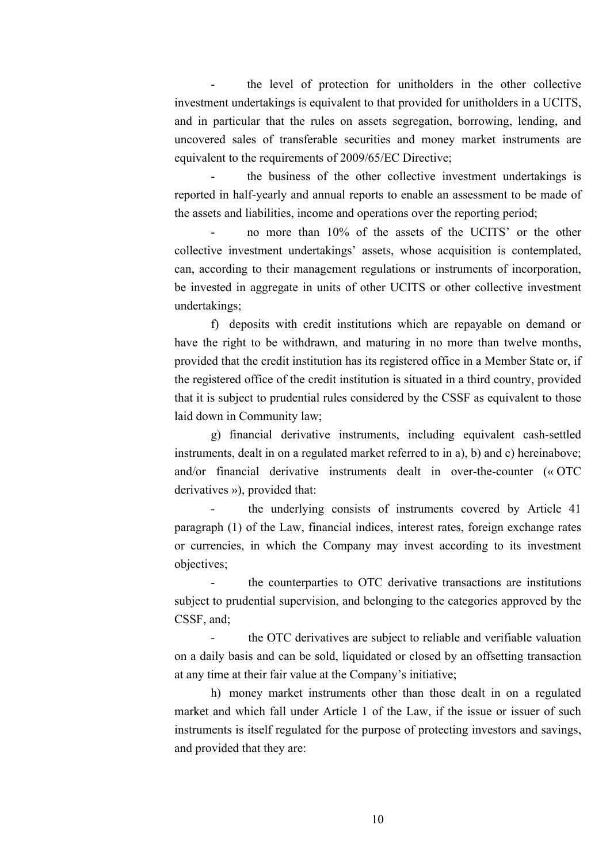the level of protection for unitholders in the other collective investment undertakings is equivalent to that provided for unitholders in a UCITS, and in particular that the rules on assets segregation, borrowing, lending, and uncovered sales of transferable securities and money market instruments are equivalent to the requirements of 2009/65/EC Directive;

the business of the other collective investment undertakings is reported in half-yearly and annual reports to enable an assessment to be made of the assets and liabilities, income and operations over the reporting period;

- no more than 10% of the assets of the UCITS' or the other collective investment undertakings' assets, whose acquisition is contemplated, can, according to their management regulations or instruments of incorporation, be invested in aggregate in units of other UCITS or other collective investment undertakings;

f) deposits with credit institutions which are repayable on demand or have the right to be withdrawn, and maturing in no more than twelve months, provided that the credit institution has its registered office in a Member State or, if the registered office of the credit institution is situated in a third country, provided that it is subject to prudential rules considered by the CSSF as equivalent to those laid down in Community law;

g) financial derivative instruments, including equivalent cash-settled instruments, dealt in on a regulated market referred to in a), b) and c) hereinabove; and/or financial derivative instruments dealt in over-the-counter (« OTC derivatives »), provided that:

the underlying consists of instruments covered by Article 41 paragraph (1) of the Law, financial indices, interest rates, foreign exchange rates or currencies, in which the Company may invest according to its investment objectives;

- the counterparties to OTC derivative transactions are institutions subject to prudential supervision, and belonging to the categories approved by the CSSF, and;

the OTC derivatives are subject to reliable and verifiable valuation on a daily basis and can be sold, liquidated or closed by an offsetting transaction at any time at their fair value at the Company's initiative;

h) money market instruments other than those dealt in on a regulated market and which fall under Article 1 of the Law, if the issue or issuer of such instruments is itself regulated for the purpose of protecting investors and savings, and provided that they are: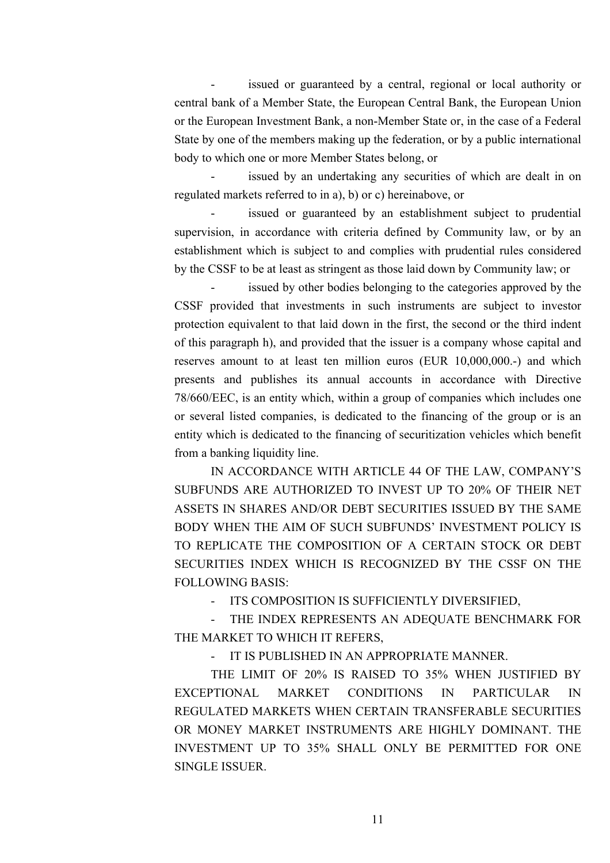issued or guaranteed by a central, regional or local authority or central bank of a Member State, the European Central Bank, the European Union or the European Investment Bank, a non-Member State or, in the case of a Federal State by one of the members making up the federation, or by a public international body to which one or more Member States belong, or

issued by an undertaking any securities of which are dealt in on regulated markets referred to in a), b) or c) hereinabove, or

issued or guaranteed by an establishment subject to prudential supervision, in accordance with criteria defined by Community law, or by an establishment which is subject to and complies with prudential rules considered by the CSSF to be at least as stringent as those laid down by Community law; or

issued by other bodies belonging to the categories approved by the CSSF provided that investments in such instruments are subject to investor protection equivalent to that laid down in the first, the second or the third indent of this paragraph h), and provided that the issuer is a company whose capital and reserves amount to at least ten million euros (EUR 10,000,000.-) and which presents and publishes its annual accounts in accordance with Directive 78/660/EEC, is an entity which, within a group of companies which includes one or several listed companies, is dedicated to the financing of the group or is an entity which is dedicated to the financing of securitization vehicles which benefit from a banking liquidity line.

IN ACCORDANCE WITH ARTICLE 44 OF THE LAW, COMPANY'S SUBFUNDS ARE AUTHORIZED TO INVEST UP TO 20% OF THEIR NET ASSETS IN SHARES AND/OR DEBT SECURITIES ISSUED BY THE SAME BODY WHEN THE AIM OF SUCH SUBFUNDS' INVESTMENT POLICY IS TO REPLICATE THE COMPOSITION OF A CERTAIN STOCK OR DEBT SECURITIES INDEX WHICH IS RECOGNIZED BY THE CSSF ON THE FOLLOWING BASIS:

- ITS COMPOSITION IS SUFFICIENTLY DIVERSIFIED,

THE INDEX REPRESENTS AN ADEQUATE BENCHMARK FOR THE MARKET TO WHICH IT REFERS,

IT IS PUBLISHED IN AN APPROPRIATE MANNER.

THE LIMIT OF 20% IS RAISED TO 35% WHEN JUSTIFIED BY EXCEPTIONAL MARKET CONDITIONS IN PARTICULAR IN REGULATED MARKETS WHEN CERTAIN TRANSFERABLE SECURITIES OR MONEY MARKET INSTRUMENTS ARE HIGHLY DOMINANT. THE INVESTMENT UP TO 35% SHALL ONLY BE PERMITTED FOR ONE SINGLE ISSUER.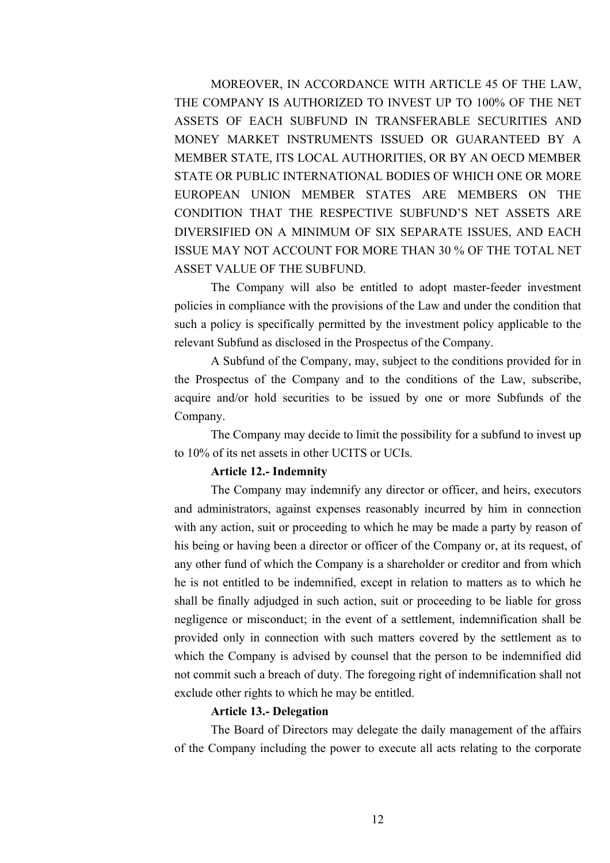MOREOVER, IN ACCORDANCE WITH ARTICLE 45 OF THE LAW, THE COMPANY IS AUTHORIZED TO INVEST UP TO 100% OF THE NET ASSETS OF EACH SUBFUND IN TRANSFERABLE SECURITIES AND MONEY MARKET INSTRUMENTS ISSUED OR GUARANTEED BY A MEMBER STATE, ITS LOCAL AUTHORITIES, OR BY AN OECD MEMBER STATE OR PUBLIC INTERNATIONAL BODIES OF WHICH ONE OR MORE EUROPEAN UNION MEMBER STATES ARE MEMBERS ON THE CONDITION THAT THE RESPECTIVE SUBFUND'S NET ASSETS ARE DIVERSIFIED ON A MINIMUM OF SIX SEPARATE ISSUES, AND EACH ISSUE MAY NOT ACCOUNT FOR MORE THAN 30 % OF THE TOTAL NET ASSET VALUE OF THE SUBFUND.

The Company will also be entitled to adopt master-feeder investment policies in compliance with the provisions of the Law and under the condition that such a policy is specifically permitted by the investment policy applicable to the relevant Subfund as disclosed in the Prospectus of the Company.

A Subfund of the Company, may, subject to the conditions provided for in the Prospectus of the Company and to the conditions of the Law, subscribe, acquire and/or hold securities to be issued by one or more Subfunds of the Company.

The Company may decide to limit the possibility for a subfund to invest up to 10% of its net assets in other UCITS or UCIs.

#### **Article 12.- Indemnity**

The Company may indemnify any director or officer, and heirs, executors and administrators, against expenses reasonably incurred by him in connection with any action, suit or proceeding to which he may be made a party by reason of his being or having been a director or officer of the Company or, at its request, of any other fund of which the Company is a shareholder or creditor and from which he is not entitled to be indemnified, except in relation to matters as to which he shall be finally adjudged in such action, suit or proceeding to be liable for gross negligence or misconduct; in the event of a settlement, indemnification shall be provided only in connection with such matters covered by the settlement as to which the Company is advised by counsel that the person to be indemnified did not commit such a breach of duty. The foregoing right of indemnification shall not exclude other rights to which he may be entitled.

#### **Article 13.- Delegation**

The Board of Directors may delegate the daily management of the affairs of the Company including the power to execute all acts relating to the corporate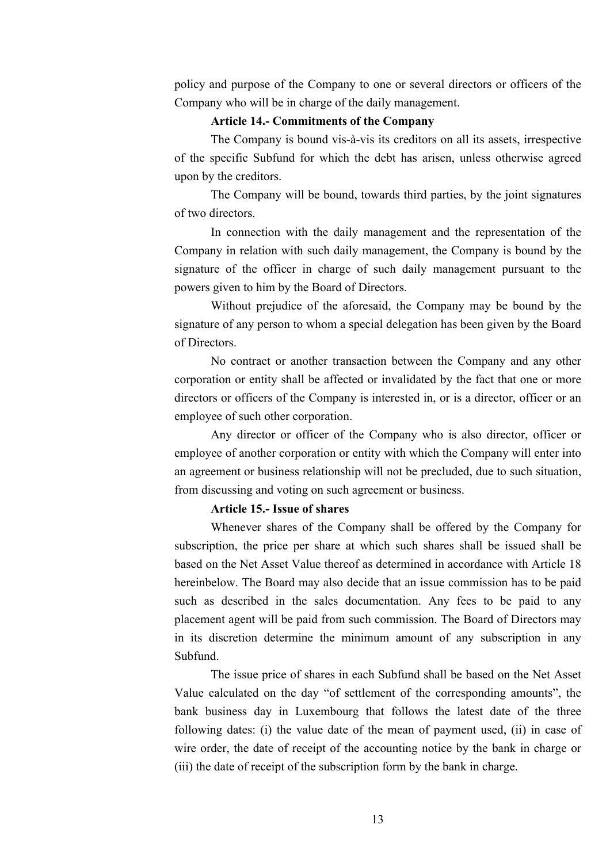policy and purpose of the Company to one or several directors or officers of the Company who will be in charge of the daily management.

# **Article 14.- Commitments of the Company**

The Company is bound vis-à-vis its creditors on all its assets, irrespective of the specific Subfund for which the debt has arisen, unless otherwise agreed upon by the creditors.

The Company will be bound, towards third parties, by the joint signatures of two directors.

In connection with the daily management and the representation of the Company in relation with such daily management, the Company is bound by the signature of the officer in charge of such daily management pursuant to the powers given to him by the Board of Directors.

Without prejudice of the aforesaid, the Company may be bound by the signature of any person to whom a special delegation has been given by the Board of Directors.

No contract or another transaction between the Company and any other corporation or entity shall be affected or invalidated by the fact that one or more directors or officers of the Company is interested in, or is a director, officer or an employee of such other corporation.

Any director or officer of the Company who is also director, officer or employee of another corporation or entity with which the Company will enter into an agreement or business relationship will not be precluded, due to such situation, from discussing and voting on such agreement or business.

#### **Article 15.- Issue of shares**

Whenever shares of the Company shall be offered by the Company for subscription, the price per share at which such shares shall be issued shall be based on the Net Asset Value thereof as determined in accordance with Article 18 hereinbelow. The Board may also decide that an issue commission has to be paid such as described in the sales documentation. Any fees to be paid to any placement agent will be paid from such commission. The Board of Directors may in its discretion determine the minimum amount of any subscription in any Subfund.

The issue price of shares in each Subfund shall be based on the Net Asset Value calculated on the day "of settlement of the corresponding amounts", the bank business day in Luxembourg that follows the latest date of the three following dates: (i) the value date of the mean of payment used, (ii) in case of wire order, the date of receipt of the accounting notice by the bank in charge or (iii) the date of receipt of the subscription form by the bank in charge.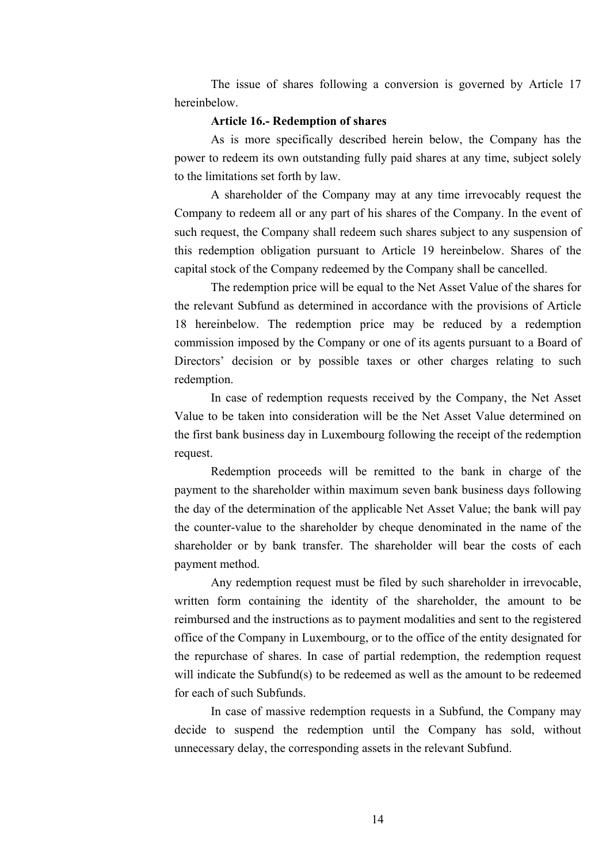The issue of shares following a conversion is governed by Article 17 hereinbelow.

#### **Article 16.- Redemption of shares**

As is more specifically described herein below, the Company has the power to redeem its own outstanding fully paid shares at any time, subject solely to the limitations set forth by law.

A shareholder of the Company may at any time irrevocably request the Company to redeem all or any part of his shares of the Company. In the event of such request, the Company shall redeem such shares subject to any suspension of this redemption obligation pursuant to Article 19 hereinbelow. Shares of the capital stock of the Company redeemed by the Company shall be cancelled.

The redemption price will be equal to the Net Asset Value of the shares for the relevant Subfund as determined in accordance with the provisions of Article 18 hereinbelow. The redemption price may be reduced by a redemption commission imposed by the Company or one of its agents pursuant to a Board of Directors' decision or by possible taxes or other charges relating to such redemption.

In case of redemption requests received by the Company, the Net Asset Value to be taken into consideration will be the Net Asset Value determined on the first bank business day in Luxembourg following the receipt of the redemption request.

Redemption proceeds will be remitted to the bank in charge of the payment to the shareholder within maximum seven bank business days following the day of the determination of the applicable Net Asset Value; the bank will pay the counter-value to the shareholder by cheque denominated in the name of the shareholder or by bank transfer. The shareholder will bear the costs of each payment method.

Any redemption request must be filed by such shareholder in irrevocable, written form containing the identity of the shareholder, the amount to be reimbursed and the instructions as to payment modalities and sent to the registered office of the Company in Luxembourg, or to the office of the entity designated for the repurchase of shares. In case of partial redemption, the redemption request will indicate the Subfund(s) to be redeemed as well as the amount to be redeemed for each of such Subfunds.

In case of massive redemption requests in a Subfund, the Company may decide to suspend the redemption until the Company has sold, without unnecessary delay, the corresponding assets in the relevant Subfund.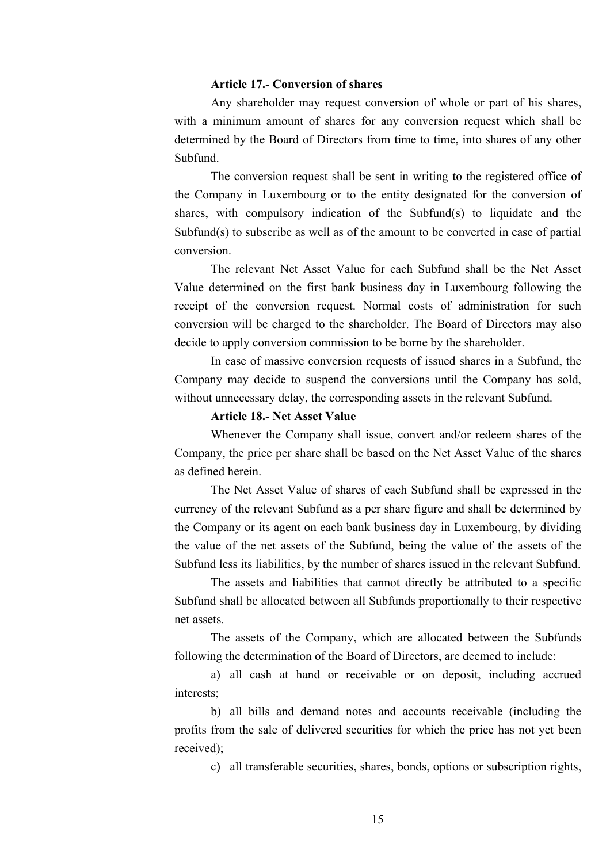# **Article 17.- Conversion of shares**

Any shareholder may request conversion of whole or part of his shares, with a minimum amount of shares for any conversion request which shall be determined by the Board of Directors from time to time, into shares of any other Subfund.

The conversion request shall be sent in writing to the registered office of the Company in Luxembourg or to the entity designated for the conversion of shares, with compulsory indication of the Subfund(s) to liquidate and the Subfund(s) to subscribe as well as of the amount to be converted in case of partial conversion.

The relevant Net Asset Value for each Subfund shall be the Net Asset Value determined on the first bank business day in Luxembourg following the receipt of the conversion request. Normal costs of administration for such conversion will be charged to the shareholder. The Board of Directors may also decide to apply conversion commission to be borne by the shareholder.

In case of massive conversion requests of issued shares in a Subfund, the Company may decide to suspend the conversions until the Company has sold, without unnecessary delay, the corresponding assets in the relevant Subfund.

# **Article 18.- Net Asset Value**

Whenever the Company shall issue, convert and/or redeem shares of the Company, the price per share shall be based on the Net Asset Value of the shares as defined herein.

The Net Asset Value of shares of each Subfund shall be expressed in the currency of the relevant Subfund as a per share figure and shall be determined by the Company or its agent on each bank business day in Luxembourg, by dividing the value of the net assets of the Subfund, being the value of the assets of the Subfund less its liabilities, by the number of shares issued in the relevant Subfund.

The assets and liabilities that cannot directly be attributed to a specific Subfund shall be allocated between all Subfunds proportionally to their respective net assets.

The assets of the Company, which are allocated between the Subfunds following the determination of the Board of Directors, are deemed to include:

a) all cash at hand or receivable or on deposit, including accrued interests;

b) all bills and demand notes and accounts receivable (including the profits from the sale of delivered securities for which the price has not yet been received);

c) all transferable securities, shares, bonds, options or subscription rights,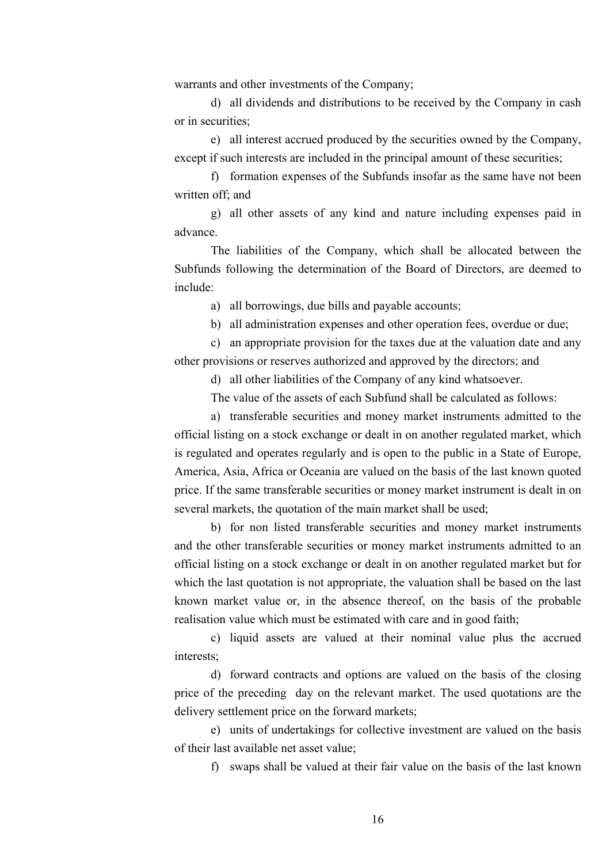warrants and other investments of the Company;

d) all dividends and distributions to be received by the Company in cash or in securities;

e) all interest accrued produced by the securities owned by the Company, except if such interests are included in the principal amount of these securities;

f) formation expenses of the Subfunds insofar as the same have not been written off; and

g) all other assets of any kind and nature including expenses paid in advance.

The liabilities of the Company, which shall be allocated between the Subfunds following the determination of the Board of Directors, are deemed to include:

a) all borrowings, due bills and payable accounts;

b) all administration expenses and other operation fees, overdue or due;

c) an appropriate provision for the taxes due at the valuation date and any other provisions or reserves authorized and approved by the directors; and

d) all other liabilities of the Company of any kind whatsoever.

The value of the assets of each Subfund shall be calculated as follows:

a) transferable securities and money market instruments admitted to the official listing on a stock exchange or dealt in on another regulated market, which is regulated and operates regularly and is open to the public in a State of Europe, America, Asia, Africa or Oceania are valued on the basis of the last known quoted price. If the same transferable securities or money market instrument is dealt in on several markets, the quotation of the main market shall be used;

b) for non listed transferable securities and money market instruments and the other transferable securities or money market instruments admitted to an official listing on a stock exchange or dealt in on another regulated market but for which the last quotation is not appropriate, the valuation shall be based on the last known market value or, in the absence thereof, on the basis of the probable realisation value which must be estimated with care and in good faith;

c) liquid assets are valued at their nominal value plus the accrued interests;

d) forward contracts and options are valued on the basis of the closing price of the preceding day on the relevant market. The used quotations are the delivery settlement price on the forward markets;

e) units of undertakings for collective investment are valued on the basis of their last available net asset value;

f) swaps shall be valued at their fair value on the basis of the last known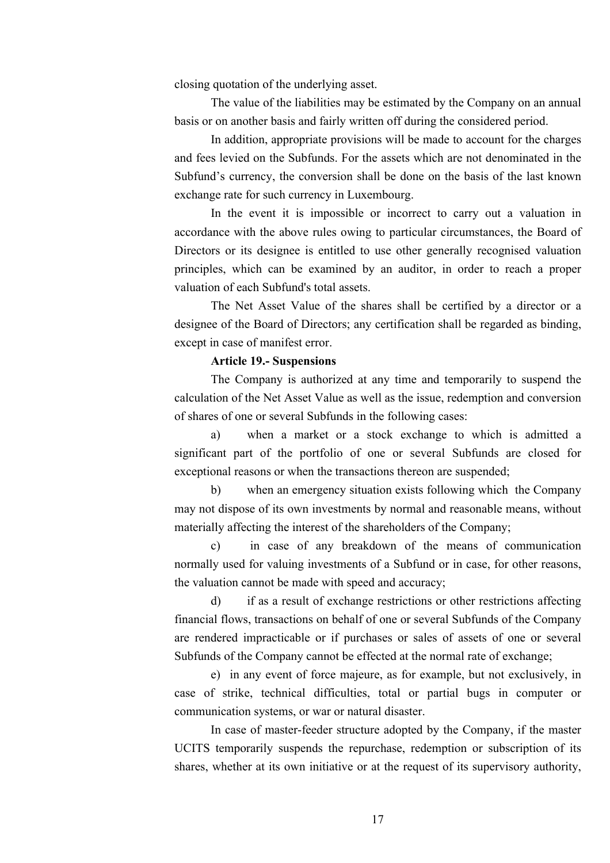closing quotation of the underlying asset.

The value of the liabilities may be estimated by the Company on an annual basis or on another basis and fairly written off during the considered period.

In addition, appropriate provisions will be made to account for the charges and fees levied on the Subfunds. For the assets which are not denominated in the Subfund's currency, the conversion shall be done on the basis of the last known exchange rate for such currency in Luxembourg.

In the event it is impossible or incorrect to carry out a valuation in accordance with the above rules owing to particular circumstances, the Board of Directors or its designee is entitled to use other generally recognised valuation principles, which can be examined by an auditor, in order to reach a proper valuation of each Subfund's total assets.

The Net Asset Value of the shares shall be certified by a director or a designee of the Board of Directors; any certification shall be regarded as binding, except in case of manifest error.

# **Article 19.- Suspensions**

The Company is authorized at any time and temporarily to suspend the calculation of the Net Asset Value as well as the issue, redemption and conversion of shares of one or several Subfunds in the following cases:

a) when a market or a stock exchange to which is admitted a significant part of the portfolio of one or several Subfunds are closed for exceptional reasons or when the transactions thereon are suspended;

b) when an emergency situation exists following which the Company may not dispose of its own investments by normal and reasonable means, without materially affecting the interest of the shareholders of the Company;

c) in case of any breakdown of the means of communication normally used for valuing investments of a Subfund or in case, for other reasons, the valuation cannot be made with speed and accuracy;

d) if as a result of exchange restrictions or other restrictions affecting financial flows, transactions on behalf of one or several Subfunds of the Company are rendered impracticable or if purchases or sales of assets of one or several Subfunds of the Company cannot be effected at the normal rate of exchange;

e) in any event of force majeure, as for example, but not exclusively, in case of strike, technical difficulties, total or partial bugs in computer or communication systems, or war or natural disaster.

In case of master-feeder structure adopted by the Company, if the master UCITS temporarily suspends the repurchase, redemption or subscription of its shares, whether at its own initiative or at the request of its supervisory authority,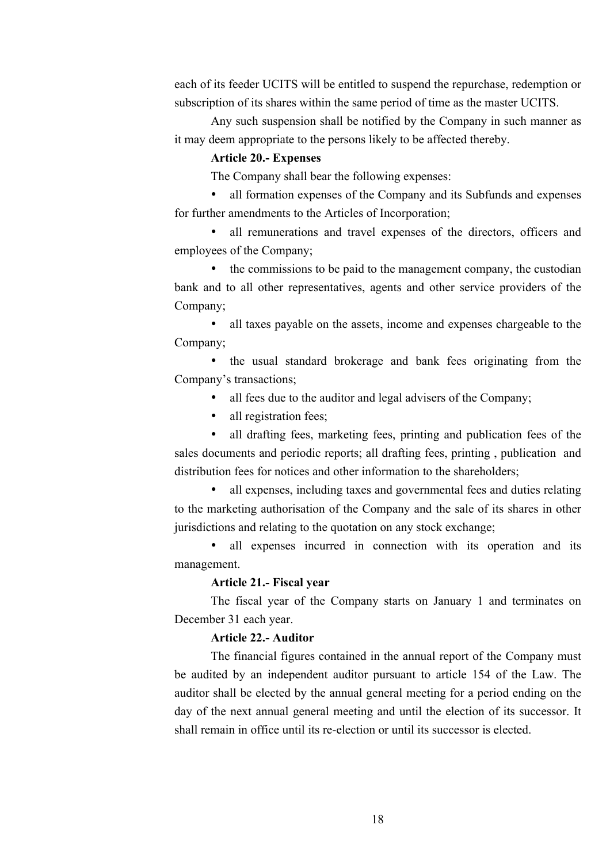each of its feeder UCITS will be entitled to suspend the repurchase, redemption or subscription of its shares within the same period of time as the master UCITS.

Any such suspension shall be notified by the Company in such manner as it may deem appropriate to the persons likely to be affected thereby.

#### **Article 20.- Expenses**

The Company shall bear the following expenses:

• all formation expenses of the Company and its Subfunds and expenses for further amendments to the Articles of Incorporation;

all remunerations and travel expenses of the directors, officers and employees of the Company;

• the commissions to be paid to the management company, the custodian bank and to all other representatives, agents and other service providers of the Company;

• all taxes payable on the assets, income and expenses chargeable to the Company;

• the usual standard brokerage and bank fees originating from the Company's transactions;

- all fees due to the auditor and legal advisers of the Company;
- all registration fees;

• all drafting fees, marketing fees, printing and publication fees of the sales documents and periodic reports; all drafting fees, printing , publication and distribution fees for notices and other information to the shareholders;

• all expenses, including taxes and governmental fees and duties relating to the marketing authorisation of the Company and the sale of its shares in other jurisdictions and relating to the quotation on any stock exchange;

all expenses incurred in connection with its operation and its management.

# **Article 21.- Fiscal year**

The fiscal year of the Company starts on January 1 and terminates on December 31 each year.

# **Article 22.- Auditor**

The financial figures contained in the annual report of the Company must be audited by an independent auditor pursuant to article 154 of the Law. The auditor shall be elected by the annual general meeting for a period ending on the day of the next annual general meeting and until the election of its successor. It shall remain in office until its re-election or until its successor is elected.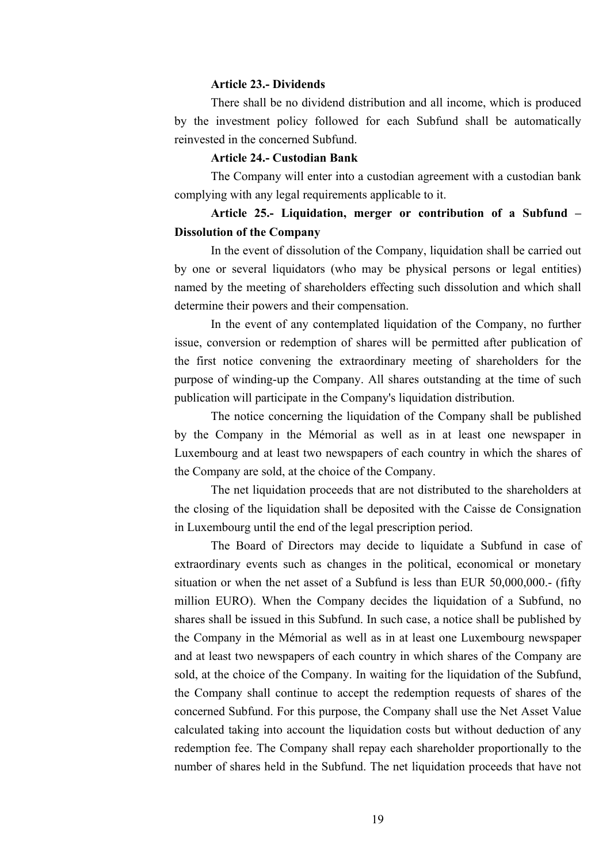# **Article 23.- Dividends**

There shall be no dividend distribution and all income, which is produced by the investment policy followed for each Subfund shall be automatically reinvested in the concerned Subfund.

## **Article 24.- Custodian Bank**

The Company will enter into a custodian agreement with a custodian bank complying with any legal requirements applicable to it.

# **Article 25.- Liquidation, merger or contribution of a Subfund – Dissolution of the Company**

In the event of dissolution of the Company, liquidation shall be carried out by one or several liquidators (who may be physical persons or legal entities) named by the meeting of shareholders effecting such dissolution and which shall determine their powers and their compensation.

In the event of any contemplated liquidation of the Company, no further issue, conversion or redemption of shares will be permitted after publication of the first notice convening the extraordinary meeting of shareholders for the purpose of winding-up the Company. All shares outstanding at the time of such publication will participate in the Company's liquidation distribution.

The notice concerning the liquidation of the Company shall be published by the Company in the Mémorial as well as in at least one newspaper in Luxembourg and at least two newspapers of each country in which the shares of the Company are sold, at the choice of the Company.

The net liquidation proceeds that are not distributed to the shareholders at the closing of the liquidation shall be deposited with the Caisse de Consignation in Luxembourg until the end of the legal prescription period.

The Board of Directors may decide to liquidate a Subfund in case of extraordinary events such as changes in the political, economical or monetary situation or when the net asset of a Subfund is less than EUR 50,000,000.- (fifty million EURO). When the Company decides the liquidation of a Subfund, no shares shall be issued in this Subfund. In such case, a notice shall be published by the Company in the Mémorial as well as in at least one Luxembourg newspaper and at least two newspapers of each country in which shares of the Company are sold, at the choice of the Company. In waiting for the liquidation of the Subfund, the Company shall continue to accept the redemption requests of shares of the concerned Subfund. For this purpose, the Company shall use the Net Asset Value calculated taking into account the liquidation costs but without deduction of any redemption fee. The Company shall repay each shareholder proportionally to the number of shares held in the Subfund. The net liquidation proceeds that have not